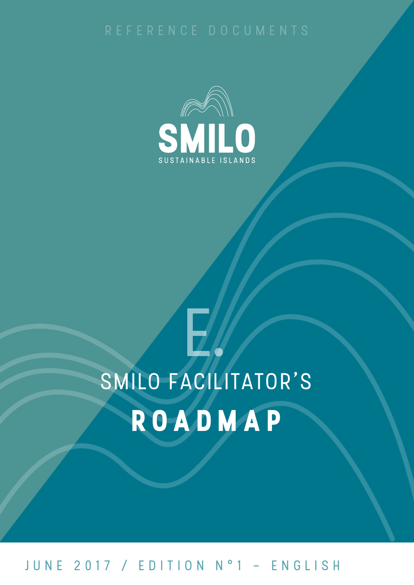

# SMILO FACILITATOR'S ROADMAP

## JUNE 2017 / EDITION N°1 - ENGLISH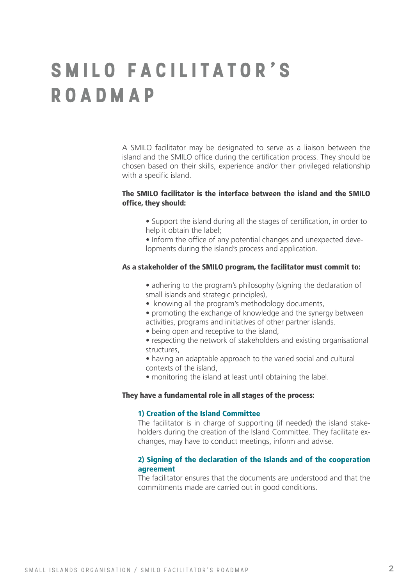## **S M I L O fac ili tator' s roadmap**

A SMILO facilitator may be designated to serve as a liaison between the island and the SMILO office during the certification process. They should be chosen based on their skills, experience and/or their privileged relationship with a specific island.

### The SMILO facilitator is the interface between the island and the SMILO office, they should:

- Support the island during all the stages of certification, in order to help it obtain the label:
- Inform the office of any potential changes and unexpected developments during the island's process and application.

#### As a stakeholder of the SMILO program, the facilitator must commit to:

• adhering to the program's philosophy (signing the declaration of small islands and strategic principles),

- knowing all the program's methodology documents,
- promoting the exchange of knowledge and the synergy between activities, programs and initiatives of other partner islands.
- being open and receptive to the island,
- respecting the network of stakeholders and existing organisational structures,
- having an adaptable approach to the varied social and cultural contexts of the island,
- monitoring the island at least until obtaining the label.

#### They have a fundamental role in all stages of the process:

#### 1) Creation of the Island Committee

The facilitator is in charge of supporting (if needed) the island stakeholders during the creation of the Island Committee. They facilitate exchanges, may have to conduct meetings, inform and advise.

#### 2) Signing of the declaration of the Islands and of the cooperation agreement

The facilitator ensures that the documents are understood and that the commitments made are carried out in good conditions.